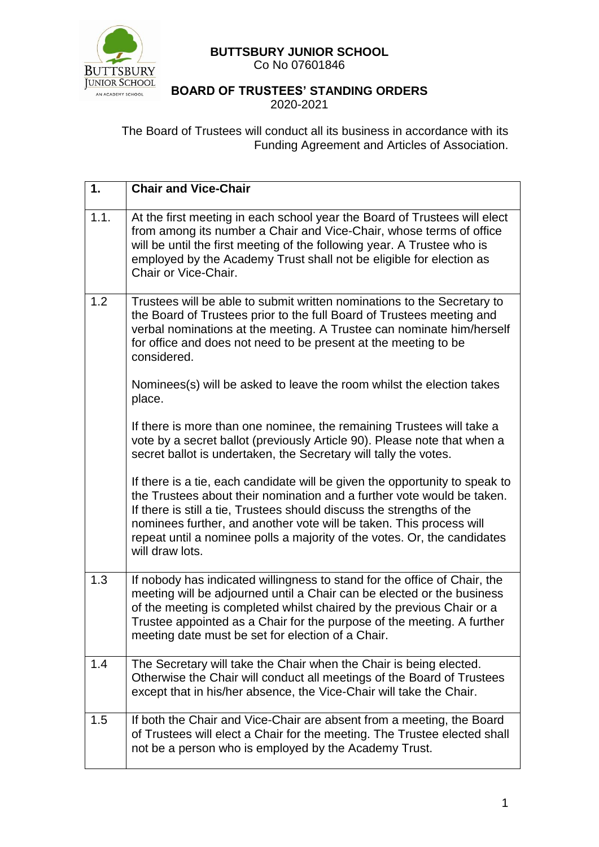

## **BUTTSBURY JUNIOR SCHOOL**  Co No 07601846

## **BOARD OF TRUSTEES' STANDING ORDERS** 2020-2021

The Board of Trustees will conduct all its business in accordance with its Funding Agreement and Articles of Association.

| 1.   | <b>Chair and Vice-Chair</b>                                                                                                                                                                                                                                                                                                                                                                          |
|------|------------------------------------------------------------------------------------------------------------------------------------------------------------------------------------------------------------------------------------------------------------------------------------------------------------------------------------------------------------------------------------------------------|
| 1.1. | At the first meeting in each school year the Board of Trustees will elect<br>from among its number a Chair and Vice-Chair, whose terms of office<br>will be until the first meeting of the following year. A Trustee who is<br>employed by the Academy Trust shall not be eligible for election as<br>Chair or Vice-Chair.                                                                           |
| 1.2  | Trustees will be able to submit written nominations to the Secretary to<br>the Board of Trustees prior to the full Board of Trustees meeting and<br>verbal nominations at the meeting. A Trustee can nominate him/herself<br>for office and does not need to be present at the meeting to be<br>considered.                                                                                          |
|      | Nominees(s) will be asked to leave the room whilst the election takes<br>place.                                                                                                                                                                                                                                                                                                                      |
|      | If there is more than one nominee, the remaining Trustees will take a<br>vote by a secret ballot (previously Article 90). Please note that when a<br>secret ballot is undertaken, the Secretary will tally the votes.                                                                                                                                                                                |
|      | If there is a tie, each candidate will be given the opportunity to speak to<br>the Trustees about their nomination and a further vote would be taken.<br>If there is still a tie, Trustees should discuss the strengths of the<br>nominees further, and another vote will be taken. This process will<br>repeat until a nominee polls a majority of the votes. Or, the candidates<br>will draw lots. |
| 1.3  | If nobody has indicated willingness to stand for the office of Chair, the<br>meeting will be adjourned until a Chair can be elected or the business<br>of the meeting is completed whilst chaired by the previous Chair or a<br>Trustee appointed as a Chair for the purpose of the meeting. A further<br>meeting date must be set for election of a Chair.                                          |
| 1.4  | The Secretary will take the Chair when the Chair is being elected.<br>Otherwise the Chair will conduct all meetings of the Board of Trustees<br>except that in his/her absence, the Vice-Chair will take the Chair.                                                                                                                                                                                  |
| 1.5  | If both the Chair and Vice-Chair are absent from a meeting, the Board<br>of Trustees will elect a Chair for the meeting. The Trustee elected shall<br>not be a person who is employed by the Academy Trust.                                                                                                                                                                                          |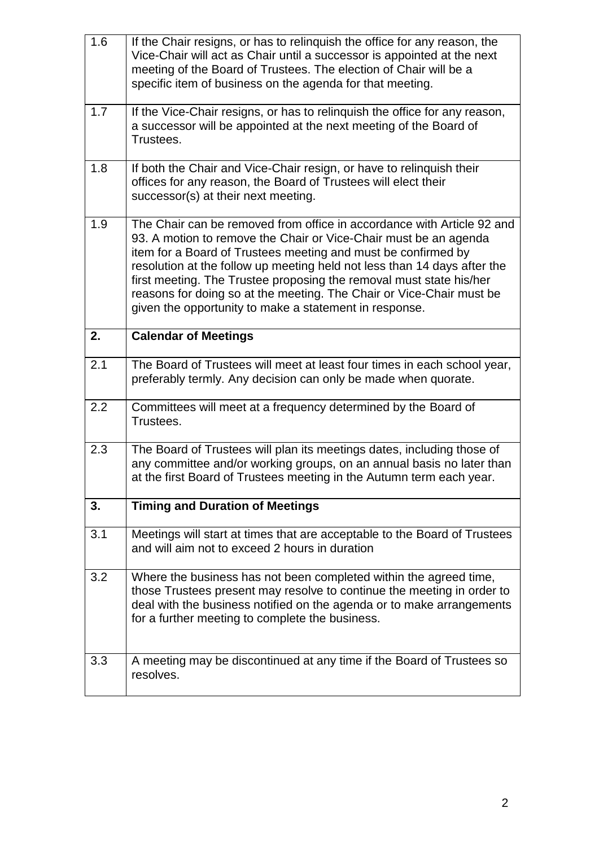| 1.6 | If the Chair resigns, or has to relinguish the office for any reason, the<br>Vice-Chair will act as Chair until a successor is appointed at the next<br>meeting of the Board of Trustees. The election of Chair will be a<br>specific item of business on the agenda for that meeting.                                                                                                                                                                                                           |
|-----|--------------------------------------------------------------------------------------------------------------------------------------------------------------------------------------------------------------------------------------------------------------------------------------------------------------------------------------------------------------------------------------------------------------------------------------------------------------------------------------------------|
| 1.7 | If the Vice-Chair resigns, or has to relinguish the office for any reason,<br>a successor will be appointed at the next meeting of the Board of<br>Trustees.                                                                                                                                                                                                                                                                                                                                     |
| 1.8 | If both the Chair and Vice-Chair resign, or have to relinquish their<br>offices for any reason, the Board of Trustees will elect their<br>successor(s) at their next meeting.                                                                                                                                                                                                                                                                                                                    |
| 1.9 | The Chair can be removed from office in accordance with Article 92 and<br>93. A motion to remove the Chair or Vice-Chair must be an agenda<br>item for a Board of Trustees meeting and must be confirmed by<br>resolution at the follow up meeting held not less than 14 days after the<br>first meeting. The Trustee proposing the removal must state his/her<br>reasons for doing so at the meeting. The Chair or Vice-Chair must be<br>given the opportunity to make a statement in response. |
| 2.  | <b>Calendar of Meetings</b>                                                                                                                                                                                                                                                                                                                                                                                                                                                                      |
| 2.1 | The Board of Trustees will meet at least four times in each school year,<br>preferably termly. Any decision can only be made when quorate.                                                                                                                                                                                                                                                                                                                                                       |
| 2.2 | Committees will meet at a frequency determined by the Board of<br>Trustees.                                                                                                                                                                                                                                                                                                                                                                                                                      |
| 2.3 | The Board of Trustees will plan its meetings dates, including those of<br>any committee and/or working groups, on an annual basis no later than<br>at the first Board of Trustees meeting in the Autumn term each year.                                                                                                                                                                                                                                                                          |
| 3.  | <b>Timing and Duration of Meetings</b>                                                                                                                                                                                                                                                                                                                                                                                                                                                           |
| 3.1 | Meetings will start at times that are acceptable to the Board of Trustees<br>and will aim not to exceed 2 hours in duration                                                                                                                                                                                                                                                                                                                                                                      |
| 3.2 | Where the business has not been completed within the agreed time,<br>those Trustees present may resolve to continue the meeting in order to<br>deal with the business notified on the agenda or to make arrangements<br>for a further meeting to complete the business.                                                                                                                                                                                                                          |
| 3.3 | A meeting may be discontinued at any time if the Board of Trustees so<br>resolves.                                                                                                                                                                                                                                                                                                                                                                                                               |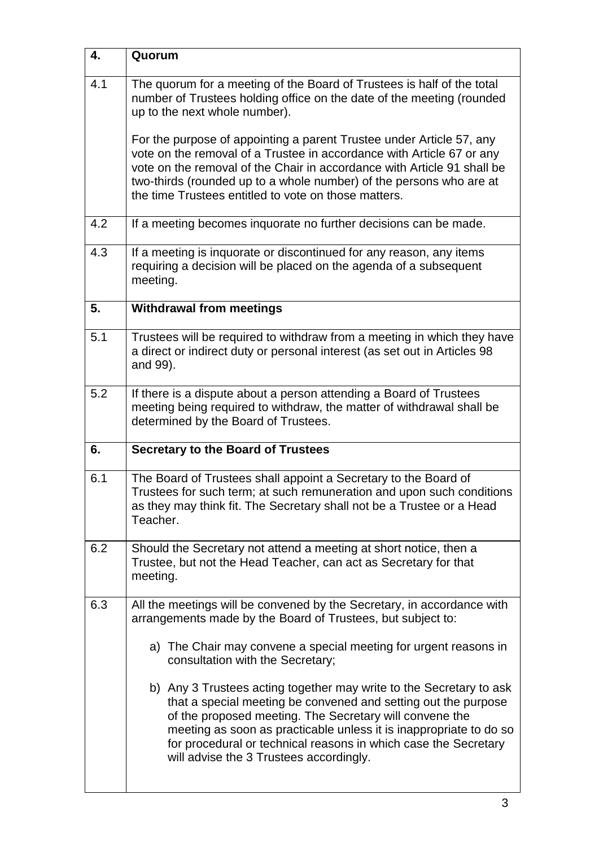| 4.  | Quorum                                                                                                                                                                                                                                                                                                                                                                               |
|-----|--------------------------------------------------------------------------------------------------------------------------------------------------------------------------------------------------------------------------------------------------------------------------------------------------------------------------------------------------------------------------------------|
| 4.1 | The quorum for a meeting of the Board of Trustees is half of the total<br>number of Trustees holding office on the date of the meeting (rounded<br>up to the next whole number).                                                                                                                                                                                                     |
|     | For the purpose of appointing a parent Trustee under Article 57, any<br>vote on the removal of a Trustee in accordance with Article 67 or any<br>vote on the removal of the Chair in accordance with Article 91 shall be<br>two-thirds (rounded up to a whole number) of the persons who are at<br>the time Trustees entitled to vote on those matters.                              |
| 4.2 | If a meeting becomes inquorate no further decisions can be made.                                                                                                                                                                                                                                                                                                                     |
| 4.3 | If a meeting is inquorate or discontinued for any reason, any items<br>requiring a decision will be placed on the agenda of a subsequent<br>meeting.                                                                                                                                                                                                                                 |
| 5.  | <b>Withdrawal from meetings</b>                                                                                                                                                                                                                                                                                                                                                      |
| 5.1 | Trustees will be required to withdraw from a meeting in which they have<br>a direct or indirect duty or personal interest (as set out in Articles 98<br>and 99).                                                                                                                                                                                                                     |
| 5.2 | If there is a dispute about a person attending a Board of Trustees<br>meeting being required to withdraw, the matter of withdrawal shall be<br>determined by the Board of Trustees.                                                                                                                                                                                                  |
| 6.  | <b>Secretary to the Board of Trustees</b>                                                                                                                                                                                                                                                                                                                                            |
| 6.1 | The Board of Trustees shall appoint a Secretary to the Board of<br>Trustees for such term; at such remuneration and upon such conditions<br>as they may think fit. The Secretary shall not be a Trustee or a Head<br>Teacher.                                                                                                                                                        |
| 6.2 | Should the Secretary not attend a meeting at short notice, then a<br>Trustee, but not the Head Teacher, can act as Secretary for that<br>meeting.                                                                                                                                                                                                                                    |
| 6.3 | All the meetings will be convened by the Secretary, in accordance with<br>arrangements made by the Board of Trustees, but subject to:                                                                                                                                                                                                                                                |
|     | a) The Chair may convene a special meeting for urgent reasons in<br>consultation with the Secretary;                                                                                                                                                                                                                                                                                 |
|     | b) Any 3 Trustees acting together may write to the Secretary to ask<br>that a special meeting be convened and setting out the purpose<br>of the proposed meeting. The Secretary will convene the<br>meeting as soon as practicable unless it is inappropriate to do so<br>for procedural or technical reasons in which case the Secretary<br>will advise the 3 Trustees accordingly. |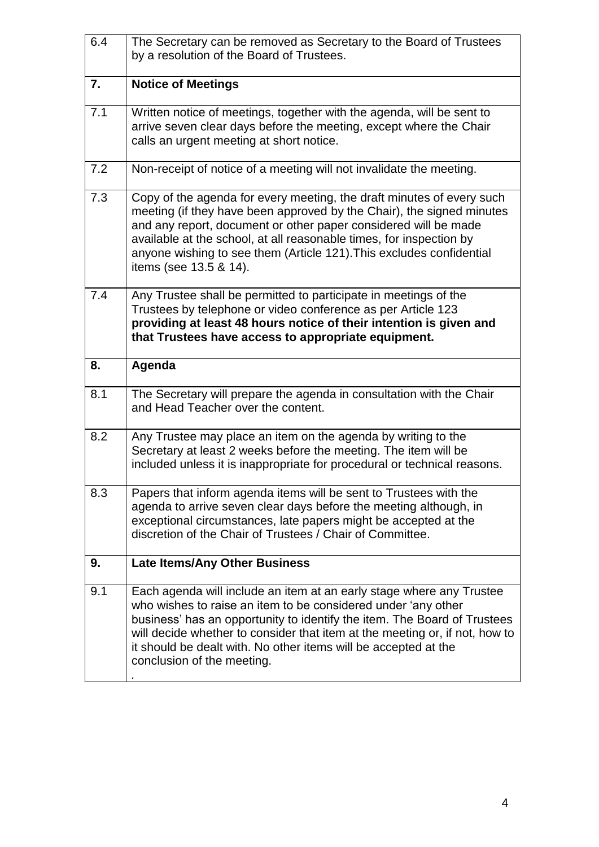| 6.4 | The Secretary can be removed as Secretary to the Board of Trustees<br>by a resolution of the Board of Trustees.                                                                                                                                                                                                                                                                            |
|-----|--------------------------------------------------------------------------------------------------------------------------------------------------------------------------------------------------------------------------------------------------------------------------------------------------------------------------------------------------------------------------------------------|
| 7.  | <b>Notice of Meetings</b>                                                                                                                                                                                                                                                                                                                                                                  |
| 7.1 | Written notice of meetings, together with the agenda, will be sent to<br>arrive seven clear days before the meeting, except where the Chair<br>calls an urgent meeting at short notice.                                                                                                                                                                                                    |
| 7.2 | Non-receipt of notice of a meeting will not invalidate the meeting.                                                                                                                                                                                                                                                                                                                        |
| 7.3 | Copy of the agenda for every meeting, the draft minutes of every such<br>meeting (if they have been approved by the Chair), the signed minutes<br>and any report, document or other paper considered will be made<br>available at the school, at all reasonable times, for inspection by<br>anyone wishing to see them (Article 121). This excludes confidential<br>items (see 13.5 & 14). |
| 7.4 | Any Trustee shall be permitted to participate in meetings of the<br>Trustees by telephone or video conference as per Article 123<br>providing at least 48 hours notice of their intention is given and<br>that Trustees have access to appropriate equipment.                                                                                                                              |
|     |                                                                                                                                                                                                                                                                                                                                                                                            |
| 8.  | Agenda                                                                                                                                                                                                                                                                                                                                                                                     |
| 8.1 | The Secretary will prepare the agenda in consultation with the Chair<br>and Head Teacher over the content.                                                                                                                                                                                                                                                                                 |
| 8.2 | Any Trustee may place an item on the agenda by writing to the<br>Secretary at least 2 weeks before the meeting. The item will be<br>included unless it is inappropriate for procedural or technical reasons.                                                                                                                                                                               |
| 8.3 | Papers that inform agenda items will be sent to Trustees with the<br>agenda to arrive seven clear days before the meeting although, in<br>exceptional circumstances, late papers might be accepted at the<br>discretion of the Chair of Trustees / Chair of Committee.                                                                                                                     |
| 9.  | <b>Late Items/Any Other Business</b>                                                                                                                                                                                                                                                                                                                                                       |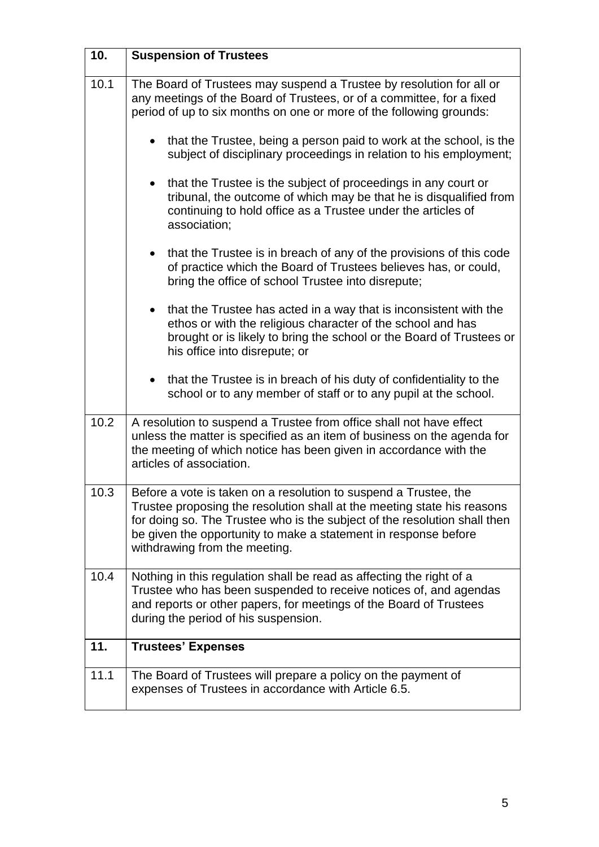| 10.  | <b>Suspension of Trustees</b>                                                                                                                                                                                                                                                                                                |
|------|------------------------------------------------------------------------------------------------------------------------------------------------------------------------------------------------------------------------------------------------------------------------------------------------------------------------------|
| 10.1 | The Board of Trustees may suspend a Trustee by resolution for all or<br>any meetings of the Board of Trustees, or of a committee, for a fixed<br>period of up to six months on one or more of the following grounds:                                                                                                         |
|      | that the Trustee, being a person paid to work at the school, is the<br>subject of disciplinary proceedings in relation to his employment;                                                                                                                                                                                    |
|      | that the Trustee is the subject of proceedings in any court or<br>$\bullet$<br>tribunal, the outcome of which may be that he is disqualified from<br>continuing to hold office as a Trustee under the articles of<br>association;                                                                                            |
|      | that the Trustee is in breach of any of the provisions of this code<br>of practice which the Board of Trustees believes has, or could,<br>bring the office of school Trustee into disrepute;                                                                                                                                 |
|      | that the Trustee has acted in a way that is inconsistent with the<br>$\bullet$<br>ethos or with the religious character of the school and has<br>brought or is likely to bring the school or the Board of Trustees or<br>his office into disrepute; or                                                                       |
|      | that the Trustee is in breach of his duty of confidentiality to the<br>$\bullet$<br>school or to any member of staff or to any pupil at the school.                                                                                                                                                                          |
| 10.2 | A resolution to suspend a Trustee from office shall not have effect<br>unless the matter is specified as an item of business on the agenda for<br>the meeting of which notice has been given in accordance with the<br>articles of association.                                                                              |
| 10.3 | Before a vote is taken on a resolution to suspend a Trustee, the<br>Trustee proposing the resolution shall at the meeting state his reasons<br>for doing so. The Trustee who is the subject of the resolution shall then<br>be given the opportunity to make a statement in response before<br>withdrawing from the meeting. |
| 10.4 | Nothing in this regulation shall be read as affecting the right of a<br>Trustee who has been suspended to receive notices of, and agendas<br>and reports or other papers, for meetings of the Board of Trustees<br>during the period of his suspension.                                                                      |
| 11.  | <b>Trustees' Expenses</b>                                                                                                                                                                                                                                                                                                    |
| 11.1 | The Board of Trustees will prepare a policy on the payment of<br>expenses of Trustees in accordance with Article 6.5.                                                                                                                                                                                                        |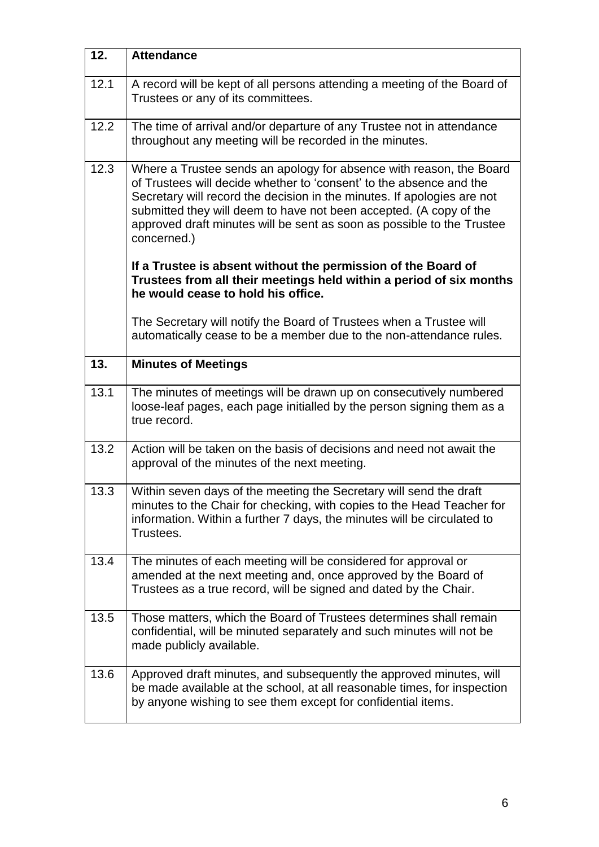| 12.  | <b>Attendance</b>                                                                                                                                                                                                                                                                                                                                                                    |
|------|--------------------------------------------------------------------------------------------------------------------------------------------------------------------------------------------------------------------------------------------------------------------------------------------------------------------------------------------------------------------------------------|
| 12.1 | A record will be kept of all persons attending a meeting of the Board of<br>Trustees or any of its committees.                                                                                                                                                                                                                                                                       |
| 12.2 | The time of arrival and/or departure of any Trustee not in attendance<br>throughout any meeting will be recorded in the minutes.                                                                                                                                                                                                                                                     |
| 12.3 | Where a Trustee sends an apology for absence with reason, the Board<br>of Trustees will decide whether to 'consent' to the absence and the<br>Secretary will record the decision in the minutes. If apologies are not<br>submitted they will deem to have not been accepted. (A copy of the<br>approved draft minutes will be sent as soon as possible to the Trustee<br>concerned.) |
|      | If a Trustee is absent without the permission of the Board of<br>Trustees from all their meetings held within a period of six months<br>he would cease to hold his office.                                                                                                                                                                                                           |
|      | The Secretary will notify the Board of Trustees when a Trustee will<br>automatically cease to be a member due to the non-attendance rules.                                                                                                                                                                                                                                           |
| 13.  | <b>Minutes of Meetings</b>                                                                                                                                                                                                                                                                                                                                                           |
| 13.1 | The minutes of meetings will be drawn up on consecutively numbered<br>loose-leaf pages, each page initialled by the person signing them as a<br>true record.                                                                                                                                                                                                                         |
| 13.2 | Action will be taken on the basis of decisions and need not await the<br>approval of the minutes of the next meeting.                                                                                                                                                                                                                                                                |
| 13.3 | Within seven days of the meeting the Secretary will send the draft<br>minutes to the Chair for checking, with copies to the Head Teacher for<br>information. Within a further 7 days, the minutes will be circulated to<br>Trustees.                                                                                                                                                 |
| 13.4 | The minutes of each meeting will be considered for approval or<br>amended at the next meeting and, once approved by the Board of<br>Trustees as a true record, will be signed and dated by the Chair.                                                                                                                                                                                |
| 13.5 | Those matters, which the Board of Trustees determines shall remain<br>confidential, will be minuted separately and such minutes will not be<br>made publicly available.                                                                                                                                                                                                              |
| 13.6 | Approved draft minutes, and subsequently the approved minutes, will<br>be made available at the school, at all reasonable times, for inspection<br>by anyone wishing to see them except for confidential items.                                                                                                                                                                      |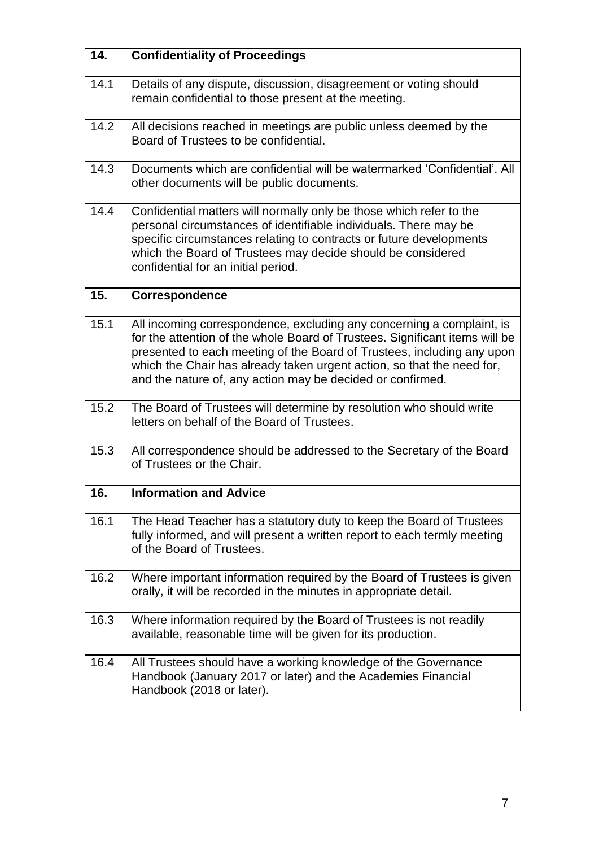| 14.  | <b>Confidentiality of Proceedings</b>                                                                                                                                                                                                                                                                                                                                  |
|------|------------------------------------------------------------------------------------------------------------------------------------------------------------------------------------------------------------------------------------------------------------------------------------------------------------------------------------------------------------------------|
| 14.1 | Details of any dispute, discussion, disagreement or voting should<br>remain confidential to those present at the meeting.                                                                                                                                                                                                                                              |
| 14.2 | All decisions reached in meetings are public unless deemed by the<br>Board of Trustees to be confidential.                                                                                                                                                                                                                                                             |
| 14.3 | Documents which are confidential will be watermarked 'Confidential'. All<br>other documents will be public documents.                                                                                                                                                                                                                                                  |
| 14.4 | Confidential matters will normally only be those which refer to the<br>personal circumstances of identifiable individuals. There may be<br>specific circumstances relating to contracts or future developments<br>which the Board of Trustees may decide should be considered<br>confidential for an initial period.                                                   |
| 15.  | <b>Correspondence</b>                                                                                                                                                                                                                                                                                                                                                  |
| 15.1 | All incoming correspondence, excluding any concerning a complaint, is<br>for the attention of the whole Board of Trustees. Significant items will be<br>presented to each meeting of the Board of Trustees, including any upon<br>which the Chair has already taken urgent action, so that the need for,<br>and the nature of, any action may be decided or confirmed. |
| 15.2 | The Board of Trustees will determine by resolution who should write<br>letters on behalf of the Board of Trustees.                                                                                                                                                                                                                                                     |
| 15.3 | All correspondence should be addressed to the Secretary of the Board<br>of Trustees or the Chair.                                                                                                                                                                                                                                                                      |
| 16.  | <b>Information and Advice</b>                                                                                                                                                                                                                                                                                                                                          |
| 16.1 | The Head Teacher has a statutory duty to keep the Board of Trustees<br>fully informed, and will present a written report to each termly meeting<br>of the Board of Trustees.                                                                                                                                                                                           |
| 16.2 | Where important information required by the Board of Trustees is given<br>orally, it will be recorded in the minutes in appropriate detail.                                                                                                                                                                                                                            |
| 16.3 | Where information required by the Board of Trustees is not readily<br>available, reasonable time will be given for its production.                                                                                                                                                                                                                                     |
| 16.4 | All Trustees should have a working knowledge of the Governance<br>Handbook (January 2017 or later) and the Academies Financial<br>Handbook (2018 or later).                                                                                                                                                                                                            |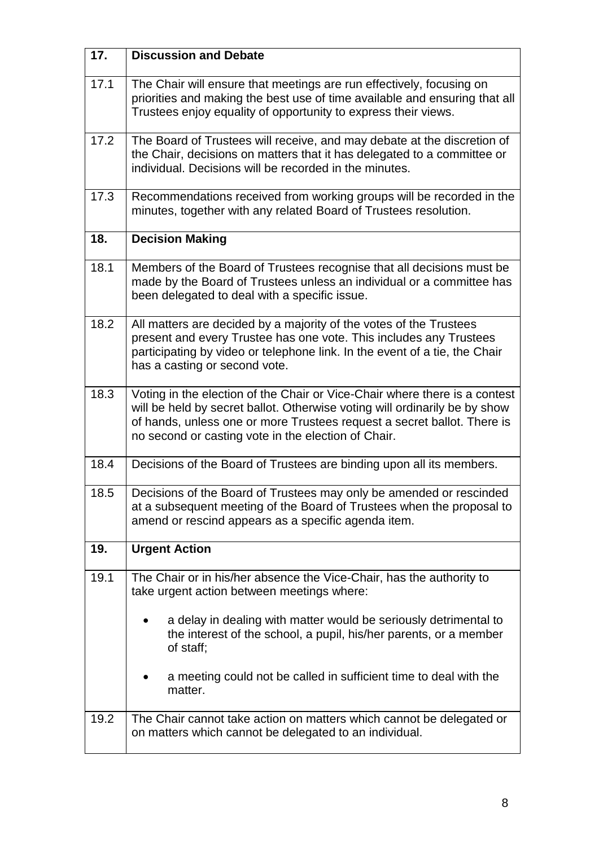| 17.  | <b>Discussion and Debate</b>                                                                                                                                                                                                                                                               |
|------|--------------------------------------------------------------------------------------------------------------------------------------------------------------------------------------------------------------------------------------------------------------------------------------------|
| 17.1 | The Chair will ensure that meetings are run effectively, focusing on<br>priorities and making the best use of time available and ensuring that all<br>Trustees enjoy equality of opportunity to express their views.                                                                       |
| 17.2 | The Board of Trustees will receive, and may debate at the discretion of<br>the Chair, decisions on matters that it has delegated to a committee or<br>individual. Decisions will be recorded in the minutes.                                                                               |
| 17.3 | Recommendations received from working groups will be recorded in the<br>minutes, together with any related Board of Trustees resolution.                                                                                                                                                   |
| 18.  | <b>Decision Making</b>                                                                                                                                                                                                                                                                     |
| 18.1 | Members of the Board of Trustees recognise that all decisions must be<br>made by the Board of Trustees unless an individual or a committee has<br>been delegated to deal with a specific issue.                                                                                            |
| 18.2 | All matters are decided by a majority of the votes of the Trustees<br>present and every Trustee has one vote. This includes any Trustees<br>participating by video or telephone link. In the event of a tie, the Chair<br>has a casting or second vote.                                    |
| 18.3 | Voting in the election of the Chair or Vice-Chair where there is a contest<br>will be held by secret ballot. Otherwise voting will ordinarily be by show<br>of hands, unless one or more Trustees request a secret ballot. There is<br>no second or casting vote in the election of Chair. |
| 18.4 | Decisions of the Board of Trustees are binding upon all its members.                                                                                                                                                                                                                       |
| 18.5 | Decisions of the Board of Trustees may only be amended or rescinded<br>at a subsequent meeting of the Board of Trustees when the proposal to<br>amend or rescind appears as a specific agenda item.                                                                                        |
| 19.  | <b>Urgent Action</b>                                                                                                                                                                                                                                                                       |
| 19.1 | The Chair or in his/her absence the Vice-Chair, has the authority to<br>take urgent action between meetings where:                                                                                                                                                                         |
|      | a delay in dealing with matter would be seriously detrimental to<br>the interest of the school, a pupil, his/her parents, or a member<br>of staff;                                                                                                                                         |
|      | a meeting could not be called in sufficient time to deal with the<br>matter.                                                                                                                                                                                                               |
| 19.2 | The Chair cannot take action on matters which cannot be delegated or<br>on matters which cannot be delegated to an individual.                                                                                                                                                             |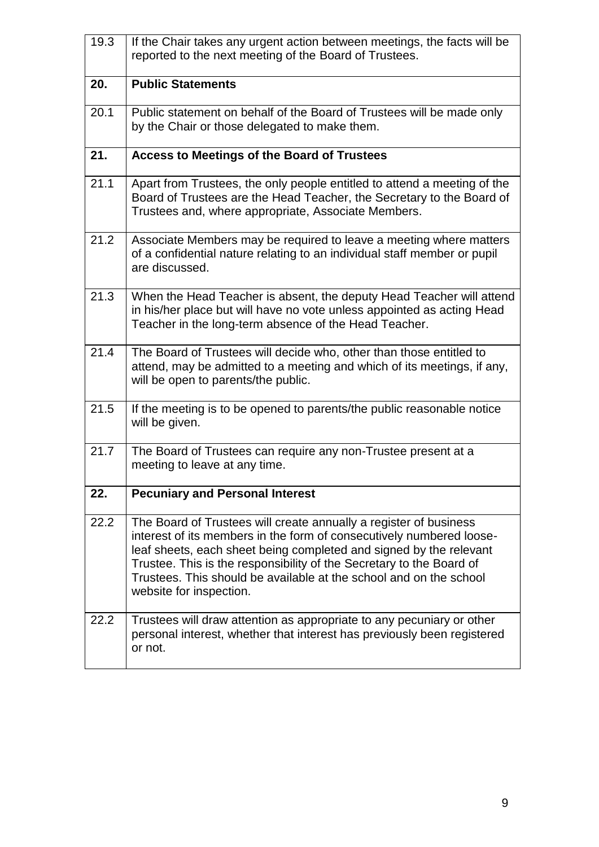| 19.3 | If the Chair takes any urgent action between meetings, the facts will be<br>reported to the next meeting of the Board of Trustees.                                                                                                                                                                                                                                                       |
|------|------------------------------------------------------------------------------------------------------------------------------------------------------------------------------------------------------------------------------------------------------------------------------------------------------------------------------------------------------------------------------------------|
| 20.  | <b>Public Statements</b>                                                                                                                                                                                                                                                                                                                                                                 |
| 20.1 | Public statement on behalf of the Board of Trustees will be made only<br>by the Chair or those delegated to make them.                                                                                                                                                                                                                                                                   |
| 21.  | <b>Access to Meetings of the Board of Trustees</b>                                                                                                                                                                                                                                                                                                                                       |
| 21.1 | Apart from Trustees, the only people entitled to attend a meeting of the<br>Board of Trustees are the Head Teacher, the Secretary to the Board of<br>Trustees and, where appropriate, Associate Members.                                                                                                                                                                                 |
| 21.2 | Associate Members may be required to leave a meeting where matters<br>of a confidential nature relating to an individual staff member or pupil<br>are discussed.                                                                                                                                                                                                                         |
| 21.3 | When the Head Teacher is absent, the deputy Head Teacher will attend<br>in his/her place but will have no vote unless appointed as acting Head<br>Teacher in the long-term absence of the Head Teacher.                                                                                                                                                                                  |
| 21.4 | The Board of Trustees will decide who, other than those entitled to<br>attend, may be admitted to a meeting and which of its meetings, if any,<br>will be open to parents/the public.                                                                                                                                                                                                    |
| 21.5 | If the meeting is to be opened to parents/the public reasonable notice<br>will be given.                                                                                                                                                                                                                                                                                                 |
| 21.7 | The Board of Trustees can require any non-Trustee present at a<br>meeting to leave at any time.                                                                                                                                                                                                                                                                                          |
| 22.  | <b>Pecuniary and Personal Interest</b>                                                                                                                                                                                                                                                                                                                                                   |
| 22.2 | The Board of Trustees will create annually a register of business<br>interest of its members in the form of consecutively numbered loose-<br>leaf sheets, each sheet being completed and signed by the relevant<br>Trustee. This is the responsibility of the Secretary to the Board of<br>Trustees. This should be available at the school and on the school<br>website for inspection. |
| 22.2 | Trustees will draw attention as appropriate to any pecuniary or other<br>personal interest, whether that interest has previously been registered<br>or not.                                                                                                                                                                                                                              |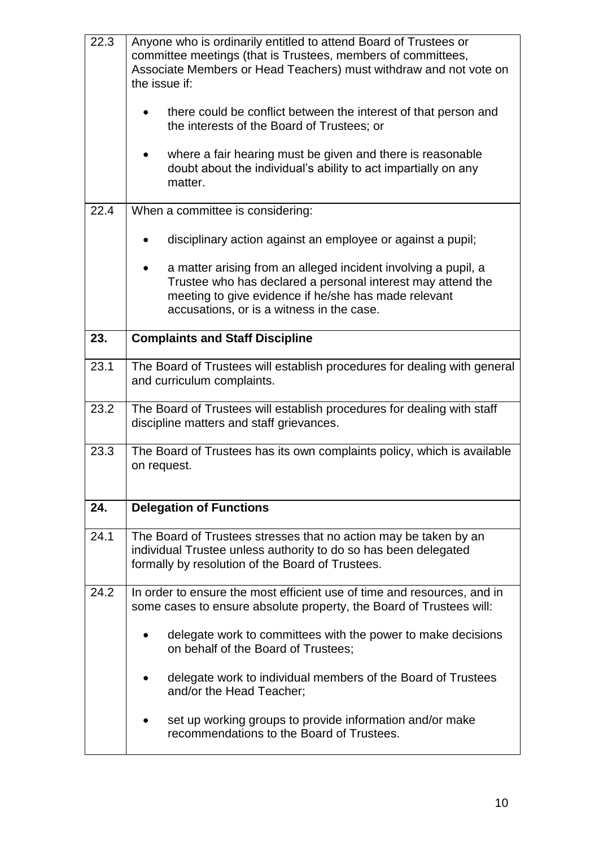| 22.3 | Anyone who is ordinarily entitled to attend Board of Trustees or<br>committee meetings (that is Trustees, members of committees,<br>Associate Members or Head Teachers) must withdraw and not vote on<br>the issue if:             |
|------|------------------------------------------------------------------------------------------------------------------------------------------------------------------------------------------------------------------------------------|
|      | there could be conflict between the interest of that person and<br>the interests of the Board of Trustees; or                                                                                                                      |
|      | where a fair hearing must be given and there is reasonable<br>doubt about the individual's ability to act impartially on any<br>matter.                                                                                            |
| 22.4 | When a committee is considering:                                                                                                                                                                                                   |
|      | disciplinary action against an employee or against a pupil;                                                                                                                                                                        |
|      | a matter arising from an alleged incident involving a pupil, a<br>Trustee who has declared a personal interest may attend the<br>meeting to give evidence if he/she has made relevant<br>accusations, or is a witness in the case. |
| 23.  | <b>Complaints and Staff Discipline</b>                                                                                                                                                                                             |
| 23.1 | The Board of Trustees will establish procedures for dealing with general<br>and curriculum complaints.                                                                                                                             |
| 23.2 | The Board of Trustees will establish procedures for dealing with staff<br>discipline matters and staff grievances.                                                                                                                 |
| 23.3 | The Board of Trustees has its own complaints policy, which is available<br>on request.                                                                                                                                             |
| 24.  | <b>Delegation of Functions</b>                                                                                                                                                                                                     |
| 24.1 | The Board of Trustees stresses that no action may be taken by an<br>individual Trustee unless authority to do so has been delegated<br>formally by resolution of the Board of Trustees.                                            |
| 24.2 | In order to ensure the most efficient use of time and resources, and in<br>some cases to ensure absolute property, the Board of Trustees will:                                                                                     |
|      | delegate work to committees with the power to make decisions<br>on behalf of the Board of Trustees;                                                                                                                                |
|      | delegate work to individual members of the Board of Trustees<br>and/or the Head Teacher;                                                                                                                                           |
|      | set up working groups to provide information and/or make<br>recommendations to the Board of Trustees.                                                                                                                              |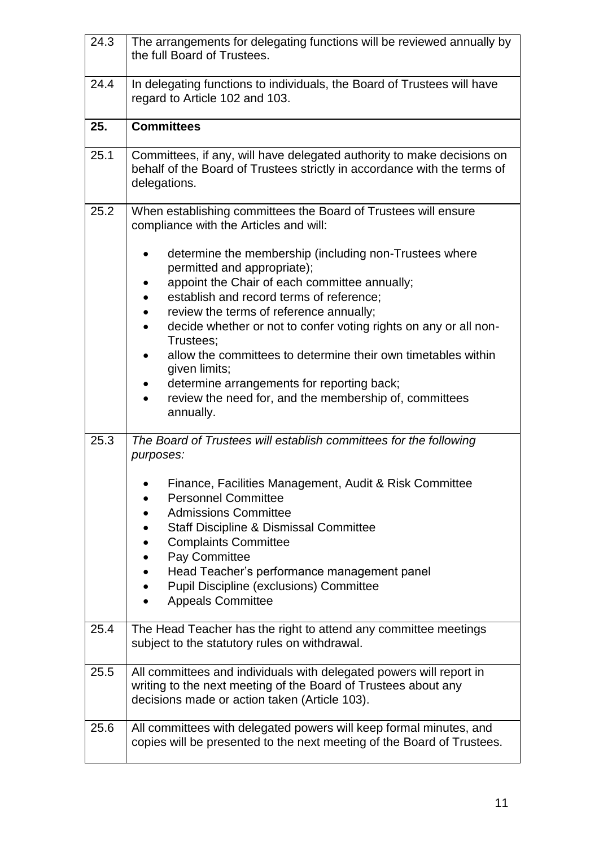| 24.3 | The arrangements for delegating functions will be reviewed annually by<br>the full Board of Trustees.                                                                                  |
|------|----------------------------------------------------------------------------------------------------------------------------------------------------------------------------------------|
| 24.4 | In delegating functions to individuals, the Board of Trustees will have<br>regard to Article 102 and 103.                                                                              |
| 25.  | <b>Committees</b>                                                                                                                                                                      |
| 25.1 | Committees, if any, will have delegated authority to make decisions on<br>behalf of the Board of Trustees strictly in accordance with the terms of<br>delegations.                     |
| 25.2 | When establishing committees the Board of Trustees will ensure<br>compliance with the Articles and will:                                                                               |
|      | determine the membership (including non-Trustees where<br>permitted and appropriate);<br>appoint the Chair of each committee annually;<br>establish and record terms of reference;     |
|      | review the terms of reference annually;<br>$\bullet$<br>decide whether or not to confer voting rights on any or all non-<br>$\bullet$<br>Trustees;                                     |
|      | allow the committees to determine their own timetables within<br>given limits;                                                                                                         |
|      | determine arrangements for reporting back;<br>review the need for, and the membership of, committees<br>$\bullet$<br>annually.                                                         |
| 25.3 | The Board of Trustees will establish committees for the following<br>purposes:                                                                                                         |
|      | Finance, Facilities Management, Audit & Risk Committee<br><b>Personnel Committee</b>                                                                                                   |
|      | <b>Admissions Committee</b>                                                                                                                                                            |
|      | <b>Staff Discipline &amp; Dismissal Committee</b><br><b>Complaints Committee</b>                                                                                                       |
|      | Pay Committee<br>$\bullet$                                                                                                                                                             |
|      | Head Teacher's performance management panel<br>$\bullet$                                                                                                                               |
|      | <b>Pupil Discipline (exclusions) Committee</b><br>$\bullet$<br><b>Appeals Committee</b>                                                                                                |
| 25.4 | The Head Teacher has the right to attend any committee meetings<br>subject to the statutory rules on withdrawal.                                                                       |
| 25.5 | All committees and individuals with delegated powers will report in<br>writing to the next meeting of the Board of Trustees about any<br>decisions made or action taken (Article 103). |
| 25.6 | All committees with delegated powers will keep formal minutes, and<br>copies will be presented to the next meeting of the Board of Trustees.                                           |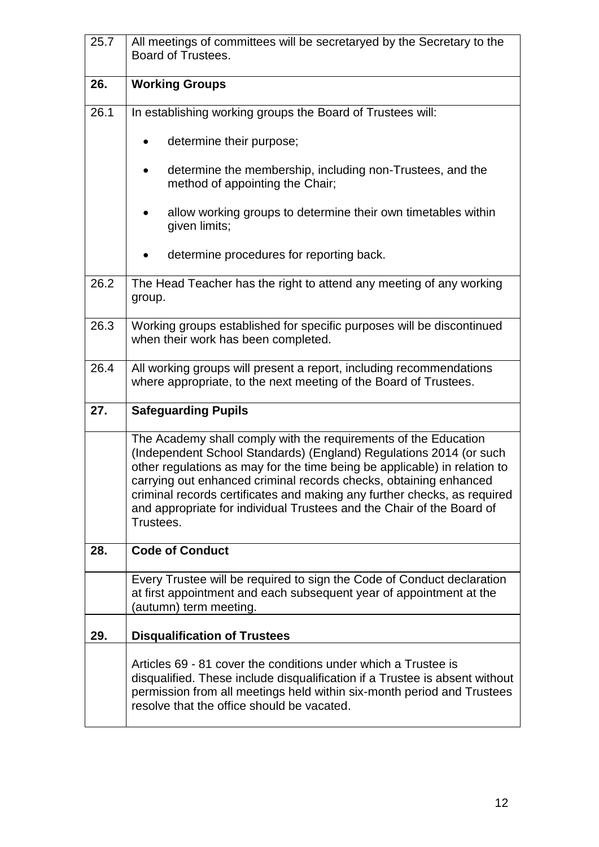| 25.7 | All meetings of committees will be secretaryed by the Secretary to the<br>Board of Trustees.                                                                                                                                                                                                                                                                                                                                                              |
|------|-----------------------------------------------------------------------------------------------------------------------------------------------------------------------------------------------------------------------------------------------------------------------------------------------------------------------------------------------------------------------------------------------------------------------------------------------------------|
| 26.  | <b>Working Groups</b>                                                                                                                                                                                                                                                                                                                                                                                                                                     |
| 26.1 | In establishing working groups the Board of Trustees will:                                                                                                                                                                                                                                                                                                                                                                                                |
|      | determine their purpose;                                                                                                                                                                                                                                                                                                                                                                                                                                  |
|      | determine the membership, including non-Trustees, and the<br>method of appointing the Chair;                                                                                                                                                                                                                                                                                                                                                              |
|      | allow working groups to determine their own timetables within<br>given limits;                                                                                                                                                                                                                                                                                                                                                                            |
|      | determine procedures for reporting back.                                                                                                                                                                                                                                                                                                                                                                                                                  |
| 26.2 | The Head Teacher has the right to attend any meeting of any working<br>group.                                                                                                                                                                                                                                                                                                                                                                             |
| 26.3 | Working groups established for specific purposes will be discontinued<br>when their work has been completed.                                                                                                                                                                                                                                                                                                                                              |
| 26.4 | All working groups will present a report, including recommendations<br>where appropriate, to the next meeting of the Board of Trustees.                                                                                                                                                                                                                                                                                                                   |
| 27.  | <b>Safeguarding Pupils</b>                                                                                                                                                                                                                                                                                                                                                                                                                                |
|      | The Academy shall comply with the requirements of the Education<br>(Independent School Standards) (England) Regulations 2014 (or such<br>other regulations as may for the time being be applicable) in relation to<br>carrying out enhanced criminal records checks, obtaining enhanced<br>criminal records certificates and making any further checks, as required<br>and appropriate for individual Trustees and the Chair of the Board of<br>Trustees. |
| 28.  | <b>Code of Conduct</b>                                                                                                                                                                                                                                                                                                                                                                                                                                    |
|      | Every Trustee will be required to sign the Code of Conduct declaration<br>at first appointment and each subsequent year of appointment at the<br>(autumn) term meeting.                                                                                                                                                                                                                                                                                   |
| 29.  | <b>Disqualification of Trustees</b>                                                                                                                                                                                                                                                                                                                                                                                                                       |
|      | Articles 69 - 81 cover the conditions under which a Trustee is<br>disqualified. These include disqualification if a Trustee is absent without<br>permission from all meetings held within six-month period and Trustees<br>resolve that the office should be vacated.                                                                                                                                                                                     |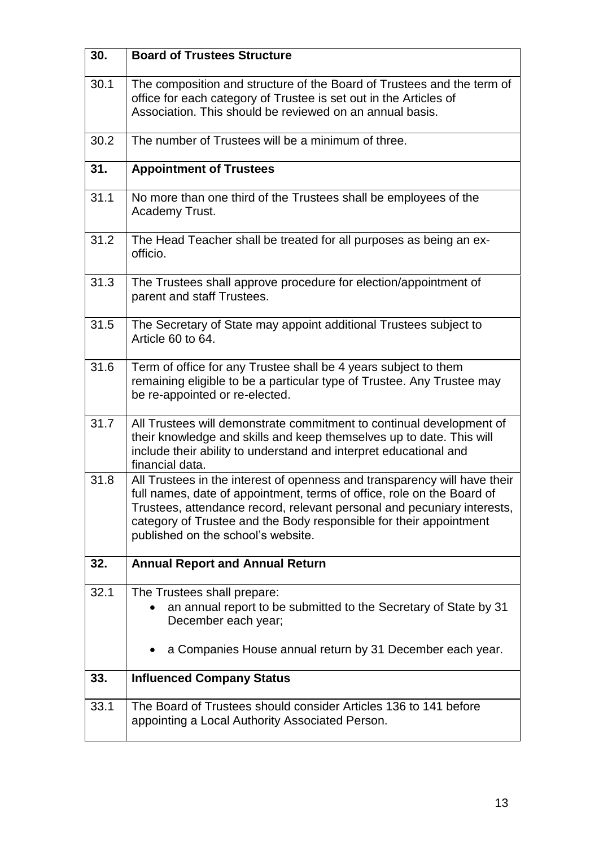| 30.  | <b>Board of Trustees Structure</b>                                                                                                                                                                                                                                                                                                         |
|------|--------------------------------------------------------------------------------------------------------------------------------------------------------------------------------------------------------------------------------------------------------------------------------------------------------------------------------------------|
| 30.1 | The composition and structure of the Board of Trustees and the term of<br>office for each category of Trustee is set out in the Articles of<br>Association. This should be reviewed on an annual basis.                                                                                                                                    |
| 30.2 | The number of Trustees will be a minimum of three.                                                                                                                                                                                                                                                                                         |
| 31.  | <b>Appointment of Trustees</b>                                                                                                                                                                                                                                                                                                             |
| 31.1 | No more than one third of the Trustees shall be employees of the<br>Academy Trust.                                                                                                                                                                                                                                                         |
| 31.2 | The Head Teacher shall be treated for all purposes as being an ex-<br>officio.                                                                                                                                                                                                                                                             |
| 31.3 | The Trustees shall approve procedure for election/appointment of<br>parent and staff Trustees.                                                                                                                                                                                                                                             |
| 31.5 | The Secretary of State may appoint additional Trustees subject to<br>Article 60 to 64.                                                                                                                                                                                                                                                     |
| 31.6 | Term of office for any Trustee shall be 4 years subject to them<br>remaining eligible to be a particular type of Trustee. Any Trustee may<br>be re-appointed or re-elected.                                                                                                                                                                |
| 31.7 | All Trustees will demonstrate commitment to continual development of<br>their knowledge and skills and keep themselves up to date. This will<br>include their ability to understand and interpret educational and<br>financial data.                                                                                                       |
| 31.8 | All Trustees in the interest of openness and transparency will have their<br>full names, date of appointment, terms of office, role on the Board of<br>Trustees, attendance record, relevant personal and pecuniary interests,<br>category of Trustee and the Body responsible for their appointment<br>published on the school's website. |
| 32.  | <b>Annual Report and Annual Return</b>                                                                                                                                                                                                                                                                                                     |
| 32.1 | The Trustees shall prepare:<br>an annual report to be submitted to the Secretary of State by 31<br>December each year;                                                                                                                                                                                                                     |
|      | a Companies House annual return by 31 December each year.                                                                                                                                                                                                                                                                                  |
| 33.  | <b>Influenced Company Status</b>                                                                                                                                                                                                                                                                                                           |
| 33.1 | The Board of Trustees should consider Articles 136 to 141 before<br>appointing a Local Authority Associated Person.                                                                                                                                                                                                                        |